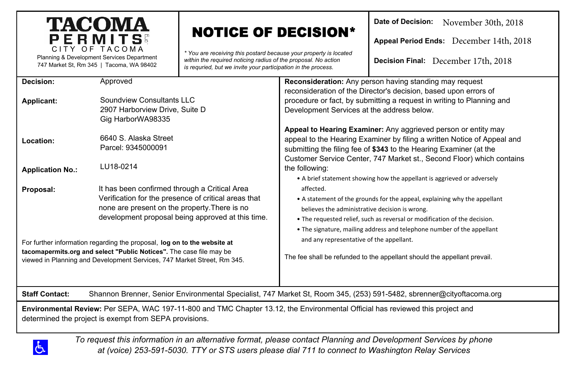# **TACOMA** PERMITS CITY OF TACOMA

Planning & Development Services Department 747 Market St, Rm 345 | Tacoma, WA 98402

# NOTICE OF DECISION\*

*\* You are receiving this postard because your property is located within the required noticing radius of the proposal. No action is requried, but we invite your participation in the process.* 

**Date of Decision:**  November 30th, 2018

**Appeal Period Ends:**  December 14th, 2018

**Decision Final:**  December 17th, 2018

| Decision:                                                                                                                                     | Approved                                             | <b>Reconsideration:</b> Any person having standing may request            |
|-----------------------------------------------------------------------------------------------------------------------------------------------|------------------------------------------------------|---------------------------------------------------------------------------|
|                                                                                                                                               |                                                      | reconsideration of the Director's decision, based upon errors of          |
| Applicant:                                                                                                                                    | Soundview Consultants LLC                            | procedure or fact, by submitting a request in writing to Planning and     |
|                                                                                                                                               | 2907 Harborview Drive, Suite D                       | Development Services at the address below.                                |
|                                                                                                                                               | Gig HarborWA98335                                    |                                                                           |
|                                                                                                                                               |                                                      | Appeal to Hearing Examiner: Any aggrieved person or entity may            |
| Location:                                                                                                                                     | 6640 S. Alaska Street                                | appeal to the Hearing Examiner by filing a written Notice of Appeal and   |
|                                                                                                                                               | Parcel: 9345000091                                   | submitting the filing fee of \$343 to the Hearing Examiner (at the        |
|                                                                                                                                               |                                                      | Customer Service Center, 747 Market st., Second Floor) which contains     |
| <b>Application No.:</b>                                                                                                                       | LU18-0214                                            | the following:                                                            |
|                                                                                                                                               |                                                      | • A brief statement showing how the appellant is aggrieved or adversely   |
| Proposal:                                                                                                                                     | It has been confirmed through a Critical Area        | affected.                                                                 |
|                                                                                                                                               | Verification for the presence of critical areas that | • A statement of the grounds for the appeal, explaining why the appellant |
|                                                                                                                                               | none are present on the property. There is no        | believes the administrative decision is wrong.                            |
|                                                                                                                                               | development proposal being approved at this time.    | . The requested relief, such as reversal or modification of the decision. |
|                                                                                                                                               |                                                      | . The signature, mailing address and telephone number of the appellant    |
| For further information regarding the proposal, log on to the website at                                                                      |                                                      | and any representative of the appellant.                                  |
| tacomapermits.org and select "Public Notices". The case file may be                                                                           |                                                      |                                                                           |
| viewed in Planning and Development Services, 747 Market Street, Rm 345.                                                                       |                                                      | The fee shall be refunded to the appellant should the appellant prevail.  |
|                                                                                                                                               |                                                      |                                                                           |
|                                                                                                                                               |                                                      |                                                                           |
| Shannon Brenner, Senior Environmental Specialist, 747 Market St, Room 345, (253) 591-5482, sbrenner@cityoftacoma.org<br><b>Staff Contact:</b> |                                                      |                                                                           |
| Environmental Review: Per SEPA, WAC 197-11-800 and TMC Chapter 13.12, the Environmental Official has reviewed this project and                |                                                      |                                                                           |

determined the project is exempt from SEPA provisions.



*To request this information in an alternative format, please contact Planning and Development Services by phone at (voice) 253-591-5030. TTY or STS users please dial 711 to connect to Washington Relay Services*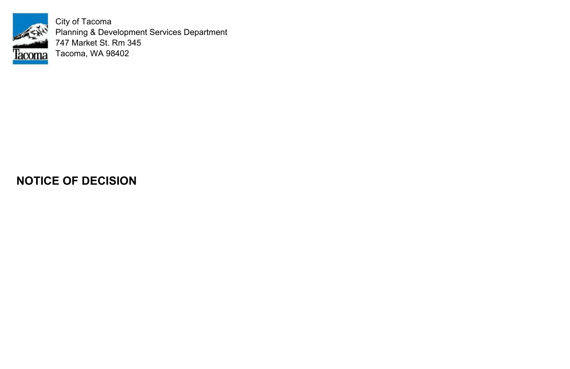

City of Tacoma Planning & Development Services Department 747 Market St. Rm 345 Tacoma, WA 98402

# **NOTICE OF DECISION**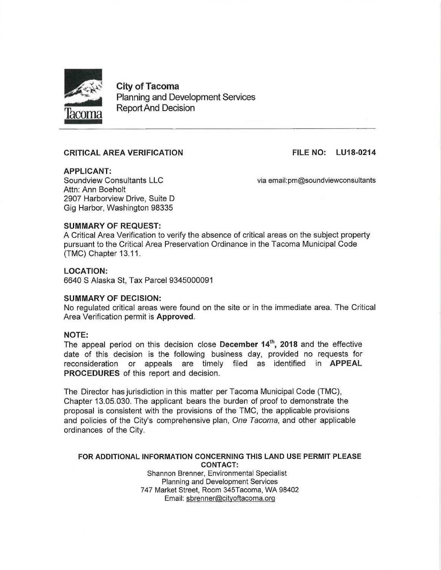

**City of Tacoma Planning and Development Services Report And Decision** 

# **CRITICAL AREA VERIFICATION**

**FILE NO: LU18-0214** 

**APPLICANT:** Soundview Consultants LLC Attn: Ann Boeholt 2907 Harborview Drive, Suite D Gig Harbor, Washington 98335

via email:pm@soundviewconsultants

# **SUMMARY OF REQUEST:**

A Critical Area Verification to verify the absence of critical areas on the subject property pursuant to the Critical Area Preservation Ordinance in the Tacoma Municipal Code (TMC) Chapter 13.11.

### **LOCATION:**

6640 S Alaska St. Tax Parcel 9345000091

#### **SUMMARY OF DECISION:**

No requlated critical areas were found on the site or in the immediate area. The Critical Area Verification permit is Approved.

#### **NOTE:**

The appeal period on this decision close December 14<sup>th</sup>, 2018 and the effective date of this decision is the following business day, provided no requests for reconsideration or appeals are timely filed as identified in **APPEAL PROCEDURES** of this report and decision.

The Director has jurisdiction in this matter per Tacoma Municipal Code (TMC), Chapter 13.05.030. The applicant bears the burden of proof to demonstrate the proposal is consistent with the provisions of the TMC, the applicable provisions and policies of the City's comprehensive plan, One Tacoma, and other applicable ordinances of the City.

# FOR ADDITIONAL INFORMATION CONCERNING THIS LAND USE PERMIT PLEASE **CONTACT:**

Shannon Brenner, Environmental Specialist Planning and Development Services 747 Market Street, Room 345Tacoma, WA 98402 Email: sbrenner@cityoftacoma.org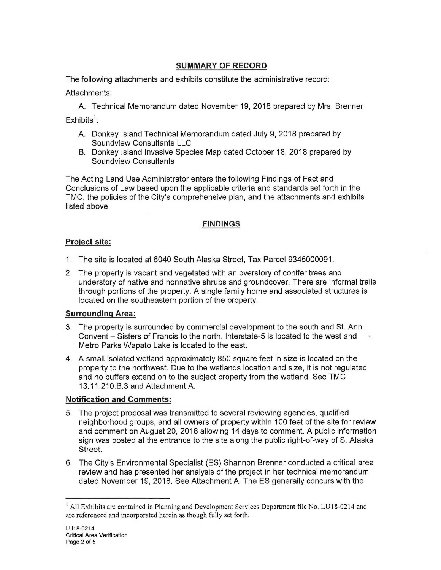# **SUMMARY OF RECORD**

The following attachments and exhibits constitute the administrative record:

Attachments:

A. Technical Memorandum dated November 19, 2018 prepared by Mrs. Brenner Exhibits<sup>1</sup>:

- A. Donkey Island Technical Memorandum dated July 9, 2018 prepared by Soundview Consultants LLC
- B. Donkey Island Invasive Species Map dated October 18, 2018 prepared by **Soundview Consultants**

The Acting Land Use Administrator enters the following Findings of Fact and Conclusions of Law based upon the applicable criteria and standards set forth in the TMC, the policies of the City's comprehensive plan, and the attachments and exhibits listed above.

# **FINDINGS**

# Project site:

- 1. The site is located at 6040 South Alaska Street, Tax Parcel 9345000091.
- 2. The property is vacant and vegetated with an overstory of conifer trees and understory of native and nonnative shrubs and groundcover. There are informal trails through portions of the property. A single family home and associated structures is located on the southeastern portion of the property.

# **Surrounding Area:**

- 3. The property is surrounded by commercial development to the south and St. Ann Convent – Sisters of Francis to the north. Interstate-5 is located to the west and Metro Parks Wapato Lake is located to the east.
- 4. A small isolated wetland approximately 850 square feet in size is located on the property to the northwest. Due to the wetlands location and size, it is not regulated and no buffers extend on to the subject property from the wetland. See TMC 13.11.210.B.3 and Attachment A.

# **Notification and Comments:**

- 5. The project proposal was transmitted to several reviewing agencies, qualified neighborhood groups, and all owners of property within 100 feet of the site for review and comment on August 20, 2018 allowing 14 days to comment. A public information sign was posted at the entrance to the site along the public right-of-way of S. Alaska Street.
- 6. The City's Environmental Specialist (ES) Shannon Brenner conducted a critical area review and has presented her analysis of the project in her technical memorandum dated November 19, 2018. See Attachment A. The ES generally concurs with the

<sup>&</sup>lt;sup>1</sup> All Exhibits are contained in Planning and Development Services Department file No. LU18-0214 and are referenced and incorporated herein as though fully set forth.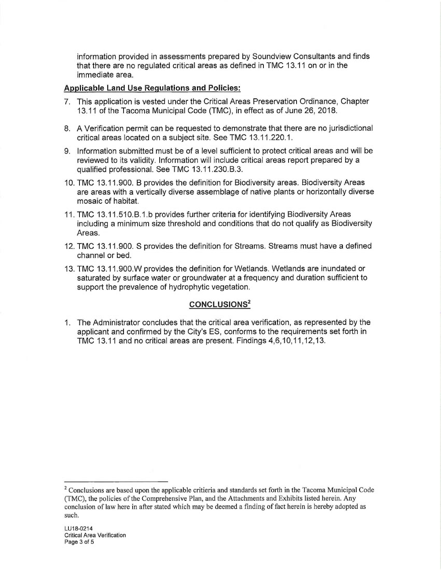information provided in assessments prepared by Soundview Consultants and finds that there are no regulated critical areas as defined in TMC 13.11 on or in the immediate area.

### **Applicable Land Use Regulations and Policies:**

- 7. This application is vested under the Critical Areas Preservation Ordinance, Chapter 13.11 of the Tacoma Municipal Code (TMC), in effect as of June 26, 2018.
- 8. A Verification permit can be requested to demonstrate that there are no jurisdictional critical areas located on a subject site. See TMC 13.11.220.1.
- 9. Information submitted must be of a level sufficient to protect critical areas and will be reviewed to its validity. Information will include critical areas report prepared by a qualified professional. See TMC 13.11.230.B.3.
- 10. TMC 13.11.900. B provides the definition for Biodiversity areas. Biodiversity Areas are areas with a vertically diverse assemblage of native plants or horizontally diverse mosaic of habitat.
- 11. TMC 13.11.510.B.1.b provides further criteria for identifying Biodiversity Areas including a minimum size threshold and conditions that do not qualify as Biodiversity Areas.
- 12. TMC 13.11.900. S provides the definition for Streams. Streams must have a defined channel or bed.
- 13. TMC 13.11.900. W provides the definition for Wetlands. Wetlands are inundated or saturated by surface water or groundwater at a frequency and duration sufficient to support the prevalence of hydrophytic vegetation.

# **CONCLUSIONS<sup>2</sup>**

1. The Administrator concludes that the critical area verification, as represented by the applicant and confirmed by the City's ES, conforms to the requirements set forth in TMC 13.11 and no critical areas are present. Findings 4,6,10,11,12,13.

<sup>&</sup>lt;sup>2</sup> Conclusions are based upon the applicable critieria and standards set forth in the Tacoma Municipal Code (TMC), the policies of the Comprehensive Plan, and the Attachments and Exhibits listed herein. Any conclusion of law here in after stated which may be deemed a finding of fact herein is hereby adopted as such.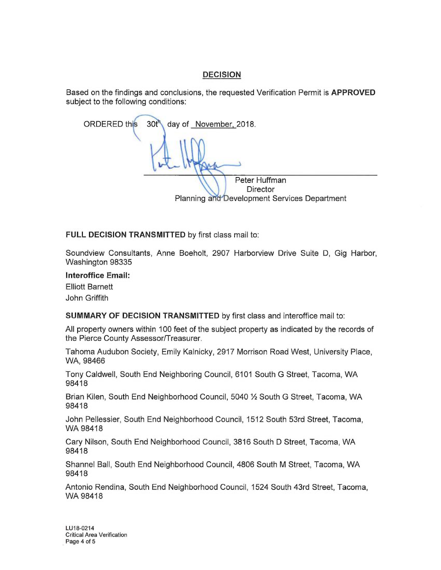# **DECISION**

Based on the findings and conclusions, the requested Verification Permit is APPROVED subject to the following conditions:

**ORDERED** this  $30<sup>t</sup>$ day of November, 2018. Peter Huffman **Director** Planning and Development Services Department

FULL DECISION TRANSMITTED by first class mail to:

Soundview Consultants, Anne Boeholt, 2907 Harborview Drive Suite D, Gig Harbor, Washington 98335

**Interoffice Email:** 

**Elliott Barnett** John Griffith

SUMMARY OF DECISION TRANSMITTED by first class and interoffice mail to:

All property owners within 100 feet of the subject property as indicated by the records of the Pierce County Assessor/Treasurer.

Tahoma Audubon Society, Emily Kalnicky, 2917 Morrison Road West, University Place, WA, 98466

Tony Caldwell, South End Neighboring Council, 6101 South G Street, Tacoma, WA 98418

Brian Kilen, South End Neighborhood Council, 5040 1/2 South G Street, Tacoma, WA 98418

John Pellessier, South End Neighborhood Council, 1512 South 53rd Street, Tacoma, WA 98418

Cary Nilson, South End Neighborhood Council, 3816 South D Street, Tacoma, WA 98418

Shannel Ball, South End Neighborhood Council, 4806 South M Street, Tacoma, WA 98418

Antonio Rendina, South End Neighborhood Council, 1524 South 43rd Street, Tacoma, WA 98418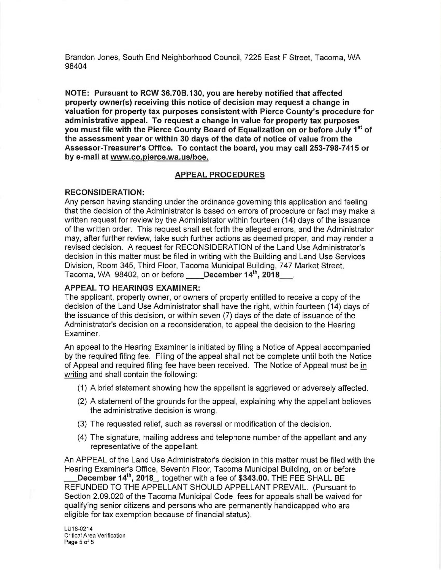Brandon Jones, South End Neighborhood Council, 7225 East F Street, Tacoma, WA 98404

NOTE: Pursuant to RCW 36.70B.130, you are hereby notified that affected property owner(s) receiving this notice of decision may request a change in valuation for property tax purposes consistent with Pierce County's procedure for administrative appeal. To request a change in value for property tax purposes you must file with the Pierce County Board of Equalization on or before July 1<sup>st</sup> of the assessment year or within 30 days of the date of notice of value from the Assessor-Treasurer's Office. To contact the board, you may call 253-798-7415 or by e-mail at www.co.pierce.wa.us/boe.

#### **APPEAL PROCEDURES**

#### **RECONSIDERATION:**

Any person having standing under the ordinance governing this application and feeling that the decision of the Administrator is based on errors of procedure or fact may make a written request for review by the Administrator within fourteen (14) days of the issuance of the written order. This request shall set forth the alleged errors, and the Administrator may, after further review, take such further actions as deemed proper, and may render a revised decision. A request for RECONSIDERATION of the Land Use Administrator's decision in this matter must be filed in writing with the Building and Land Use Services Division, Room 345, Third Floor, Tacoma Municipal Building, 747 Market Street, Tacoma, WA 98402, on or before December 14<sup>th</sup>, 2018

#### **APPEAL TO HEARINGS EXAMINER:**

The applicant, property owner, or owners of property entitled to receive a copy of the decision of the Land Use Administrator shall have the right, within fourteen (14) days of the issuance of this decision, or within seven (7) days of the date of issuance of the Administrator's decision on a reconsideration, to appeal the decision to the Hearing Examiner.

An appeal to the Hearing Examiner is initiated by filing a Notice of Appeal accompanied by the required filing fee. Filing of the appeal shall not be complete until both the Notice of Appeal and required filing fee have been received. The Notice of Appeal must be in writing and shall contain the following:

- (1) A brief statement showing how the appellant is aggrieved or adversely affected.
- (2) A statement of the grounds for the appeal, explaining why the appellant believes the administrative decision is wrong.
- (3) The requested relief, such as reversal or modification of the decision.
- (4) The signature, mailing address and telephone number of the appellant and any representative of the appellant.

An APPEAL of the Land Use Administrator's decision in this matter must be filed with the Hearing Examiner's Office, Seventh Floor, Tacoma Municipal Building, on or before

December 14<sup>th</sup>, 2018, together with a fee of \$343.00. THE FEE SHALL BE REFUNDED TO THE APPELLANT SHOULD APPELLANT PREVAIL. (Pursuant to Section 2,09,020 of the Tacoma Municipal Code, fees for appeals shall be waived for qualifying senior citizens and persons who are permanently handicapped who are eligible for tax exemption because of financial status).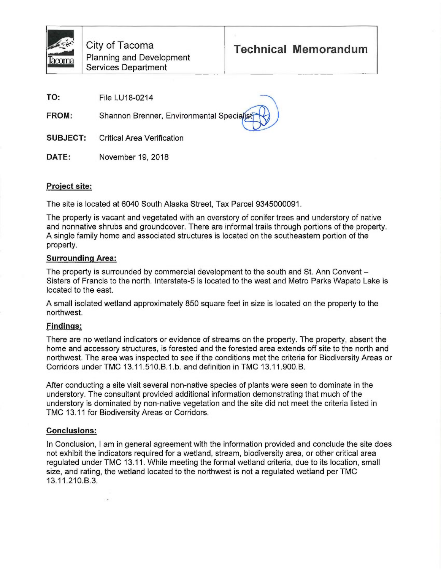TO: File LU18-0214

**FROM:** Shannon Brenner, Environmental Specialist

**SUBJECT: Critical Area Verification** 

DATE: November 19, 2018

# Project site:

The site is located at 6040 South Alaska Street, Tax Parcel 9345000091.

The property is vacant and vegetated with an overstory of conifer trees and understory of native and nonnative shrubs and groundcover. There are informal trails through portions of the property. A single family home and associated structures is located on the southeastern portion of the property.

# **Surrounding Area:**

The property is surrounded by commercial development to the south and St. Ann Convent – Sisters of Francis to the north. Interstate-5 is located to the west and Metro Parks Wapato Lake is located to the east.

A small isolated wetland approximately 850 square feet in size is located on the property to the northwest.

# **Findings:**

There are no wetland indicators or evidence of streams on the property. The property, absent the home and accessory structures, is forested and the forested area extends off site to the north and northwest. The area was inspected to see if the conditions met the criteria for Biodiversity Areas or Corridors under TMC 13.11.510.B.1.b. and definition in TMC 13.11.900.B.

After conducting a site visit several non-native species of plants were seen to dominate in the understory. The consultant provided additional information demonstrating that much of the understory is dominated by non-native vegetation and the site did not meet the criteria listed in TMC 13.11 for Biodiversity Areas or Corridors.

# **Conclusions:**

In Conclusion, I am in general agreement with the information provided and conclude the site does not exhibit the indicators required for a wetland, stream, biodiversity area, or other critical area regulated under TMC 13.11. While meeting the formal wetland criteria, due to its location, small size, and rating, the wetland located to the northwest is not a regulated wetland per TMC 13.11.210.B.3.